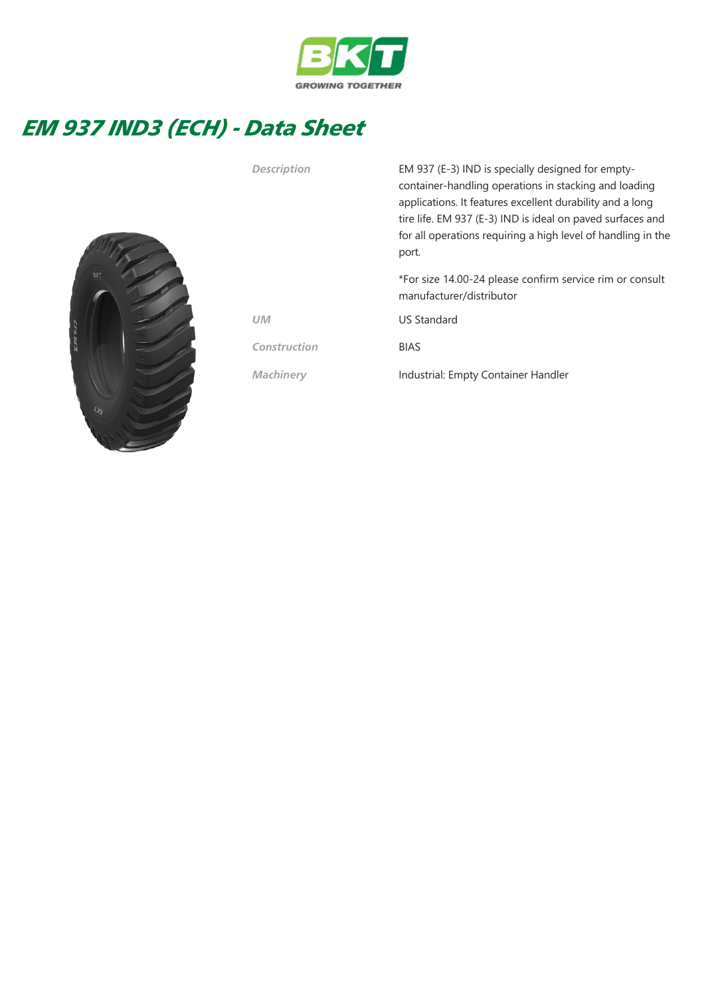

## EM 937 IND3 (ECH) - Data Sheet



Description EM 937 (E-3) IND is specially designed for emptycontainer‐handling operations in stacking and loading applications. It features excellent durability and a long tire life. EM 937 (E-3) IND is ideal on paved surfaces and for all operations requiring a high level of handling in the port.

> \*For size 14.00‐24 please confirm service rim or consult manufacturer/distributor

UM US Standard

Construction BIAS

Machinery **Industrial: Empty Container Handler**